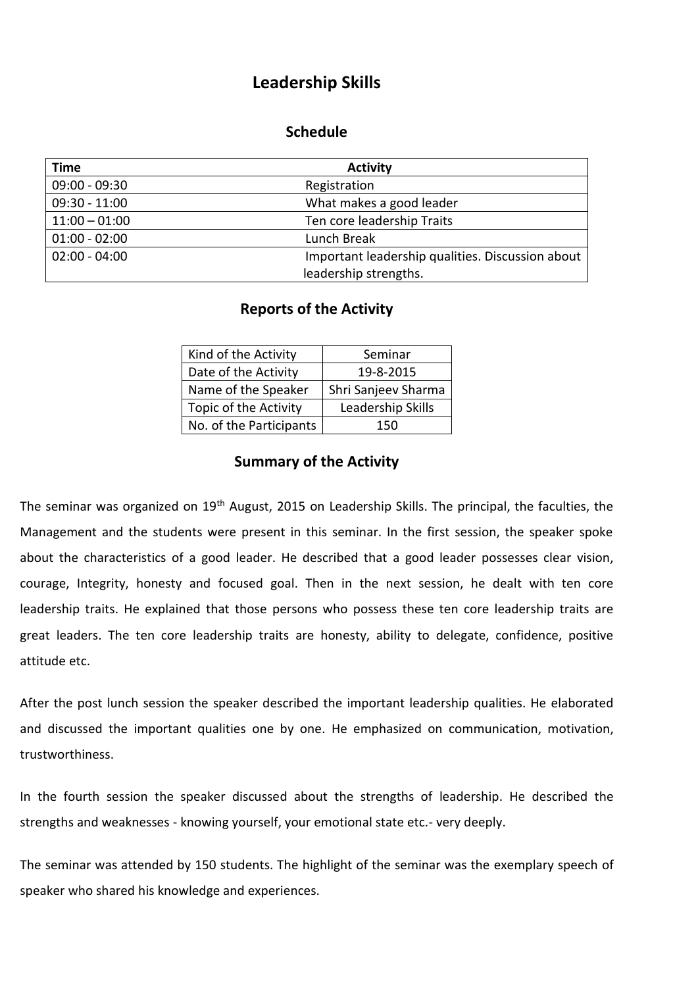## **Leadership Skills**

## **Schedule**

| <b>Time</b>     | <b>Activity</b>                                  |
|-----------------|--------------------------------------------------|
| $09:00 - 09:30$ | Registration                                     |
| $09:30 - 11:00$ | What makes a good leader                         |
| $11:00 - 01:00$ | Ten core leadership Traits                       |
| $01:00 - 02:00$ | Lunch Break                                      |
| $02:00 - 04:00$ | Important leadership qualities. Discussion about |
|                 | leadership strengths.                            |

## **Reports of the Activity**

| Seminar             |
|---------------------|
| 19-8-2015           |
| Shri Sanjeev Sharma |
| Leadership Skills   |
| 150                 |
|                     |

## **Summary of the Activity**

The seminar was organized on 19<sup>th</sup> August, 2015 on Leadership Skills. The principal, the faculties, the Management and the students were present in this seminar. In the first session, the speaker spoke about the characteristics of a good leader. He described that a good leader possesses clear vision, courage, Integrity, honesty and focused goal. Then in the next session, he dealt with ten core leadership traits. He explained that those persons who possess these ten core leadership traits are great leaders. The ten core leadership traits are honesty, ability to delegate, confidence, positive attitude etc.

After the post lunch session the speaker described the important leadership qualities. He elaborated and discussed the important qualities one by one. He emphasized on communication, motivation, trustworthiness.

In the fourth session the speaker discussed about the strengths of leadership. He described the strengths and weaknesses - knowing yourself, your emotional state etc.- very deeply.

The seminar was attended by 150 students. The highlight of the seminar was the exemplary speech of speaker who shared his knowledge and experiences.